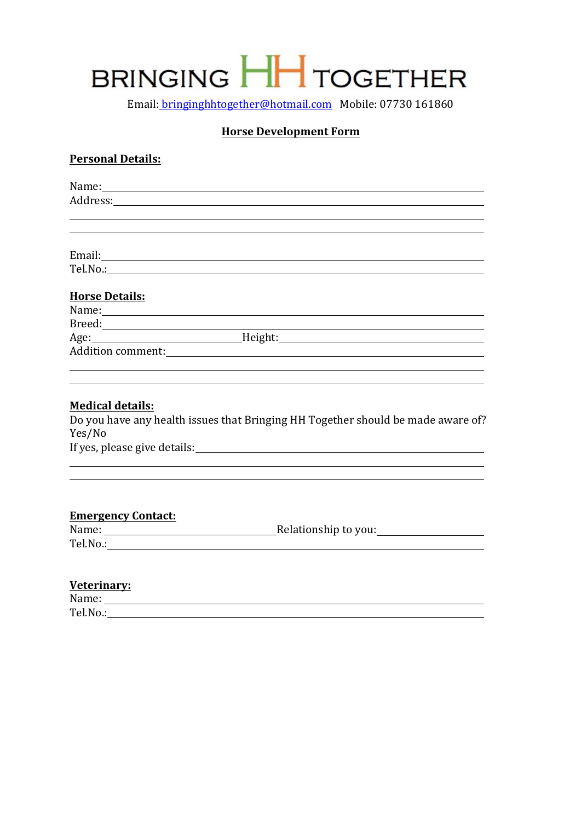# BRINGING HH TOGETHER

Email: bringinghhtogether@hotmail.com Mobile: 07730 161860

#### **Horse Development Form**

#### **Personal Details:**

| <b>Horse Details:</b> |                                                                                                                                                                                                                                |  |
|-----------------------|--------------------------------------------------------------------------------------------------------------------------------------------------------------------------------------------------------------------------------|--|
|                       |                                                                                                                                                                                                                                |  |
|                       |                                                                                                                                                                                                                                |  |
|                       | Age: Manual Meight: Meight: Meight: Manual Meight: Manual Meight: Meight: Manual Meight: Manual Meight: Manual Meight: Manual Meight: Manual Meight: Manual Meight: Manual Meight: Manual Meight: Manual Meight: Manual Meight |  |
|                       |                                                                                                                                                                                                                                |  |
|                       |                                                                                                                                                                                                                                |  |
|                       |                                                                                                                                                                                                                                |  |

#### **Medical details:**

Do you have any health issues that Bringing HH Together should be made aware of? Yes/No If yes, please give details:

### **Emergency Contact:**

| Name:    | Relationship to you: |
|----------|----------------------|
| Tel.No.: |                      |

#### **Veterinary:**

| Name:    |  |
|----------|--|
| Tel.No.: |  |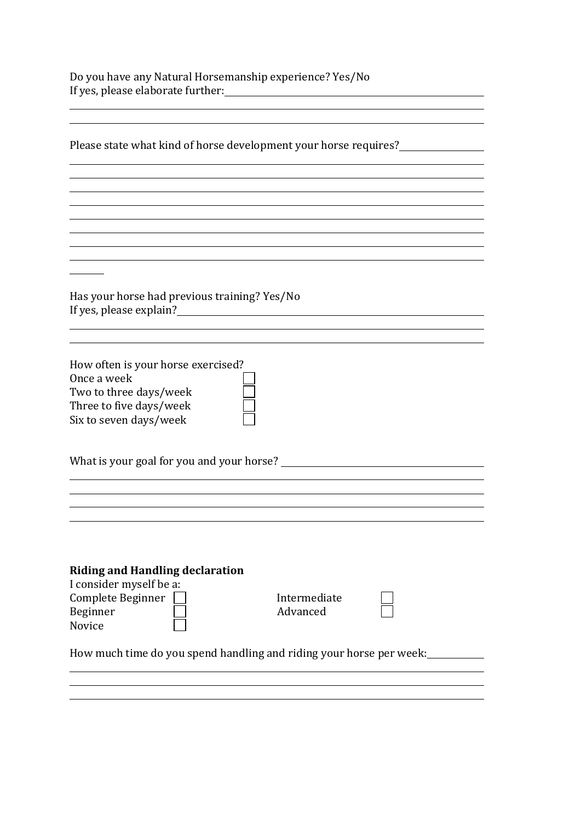Do you have any Natural Horsemanship experience? Yes/No If yes, please elaborate further:

| Please state what kind of horse development your horse requires?        |              |  |
|-------------------------------------------------------------------------|--------------|--|
|                                                                         |              |  |
|                                                                         |              |  |
|                                                                         |              |  |
|                                                                         |              |  |
|                                                                         |              |  |
|                                                                         |              |  |
|                                                                         |              |  |
| Has your horse had previous training? Yes/No<br>If yes, please explain? |              |  |
|                                                                         |              |  |
|                                                                         |              |  |
| How often is your horse exercised?                                      |              |  |
| Once a week                                                             |              |  |
| Two to three days/week                                                  |              |  |
| Three to five days/week                                                 |              |  |
| Six to seven days/week                                                  |              |  |
| What is your goal for you and your horse?                               |              |  |
|                                                                         |              |  |
|                                                                         |              |  |
|                                                                         |              |  |
|                                                                         |              |  |
| <b>Riding and Handling declaration</b>                                  |              |  |
| I consider myself be a:                                                 |              |  |
| Complete Beginner                                                       | Intermediate |  |
| Beginner                                                                | Advanced     |  |
| Novice                                                                  |              |  |
| How much time do you spend handling and riding your horse per week:     |              |  |
|                                                                         |              |  |
|                                                                         |              |  |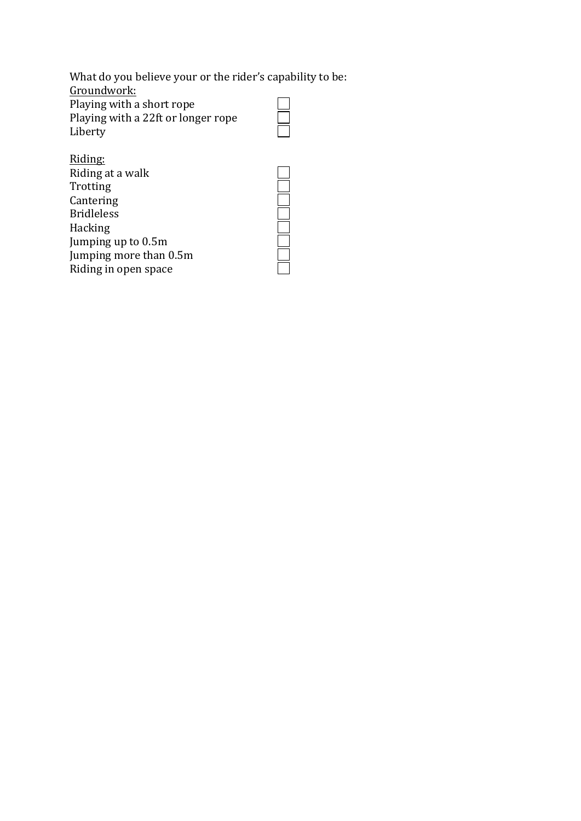What do you believe your or the rider's capability to be: Groundwork: Playing with a short rope  $\Box$ Playing with a 22ft or longer rope Liberty Riding:

**NOCIOLATION** 

| www.                   |
|------------------------|
| Riding at a walk       |
| Trotting               |
| Cantering              |
| <b>Bridleless</b>      |
| Hacking                |
| Jumping up to 0.5m     |
| Jumping more than 0.5m |
| Riding in open space   |
|                        |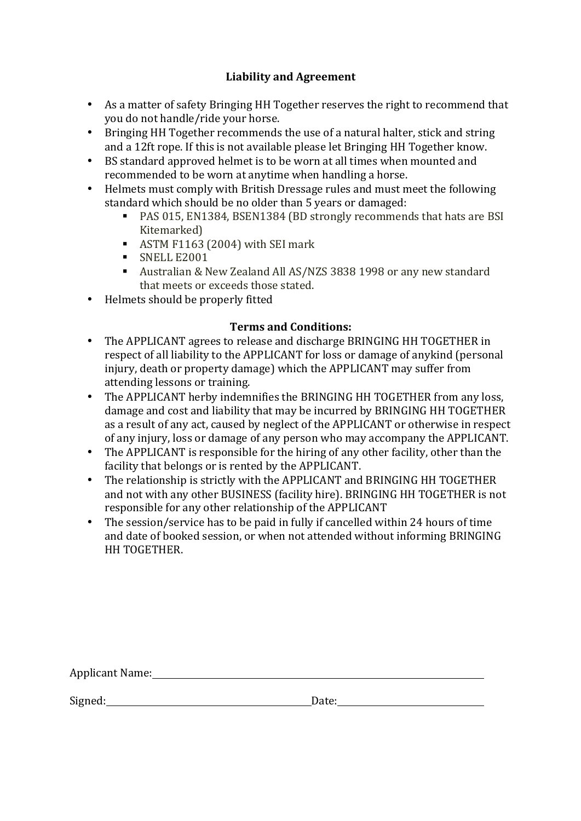# Liability and Agreement

- As a matter of safety Bringing HH Together reserves the right to recommend that you do not handle/ride your horse.
- Bringing HH Together recommends the use of a natural halter, stick and string and a 12ft rope. If this is not available please let Bringing HH Together know.
- BS standard approved helmet is to be worn at all times when mounted and recommended to be worn at anytime when handling a horse.
- Helmets must comply with British Dressage rules and must meet the following standard which should be no older than 5 years or damaged:
	- PAS 015, EN1384, BSEN1384 (BD strongly recommends that hats are BSI Kitemarked)
	- ASTM F1163 (2004) with SEI mark
	- § SNELL E2001
	- Australian & New Zealand All AS/NZS 3838 1998 or any new standard that meets or exceeds those stated.
- Helmets should be properly fitted

# **Terms and Conditions:**

- The APPLICANT agrees to release and discharge BRINGING HH TOGETHER in respect of all liability to the APPLICANT for loss or damage of anykind (personal injury, death or property damage) which the APPLICANT may suffer from attending lessons or training.
- The APPLICANT herby indemnifies the BRINGING HH TOGETHER from any loss, damage and cost and liability that may be incurred by BRINGING HH TOGETHER as a result of any act, caused by neglect of the APPLICANT or otherwise in respect of any injury, loss or damage of any person who may accompany the APPLICANT.
- The APPLICANT is responsible for the hiring of any other facility, other than the facility that belongs or is rented by the APPLICANT.
- The relationship is strictly with the APPLICANT and BRINGING HH TOGETHER and not with any other BUSINESS (facility hire). BRINGING HH TOGETHER is not responsible for any other relationship of the APPLICANT
- The session/service has to be paid in fully if cancelled within 24 hours of time and date of booked session, or when not attended without informing BRINGING HH TOGETHER.

| Applicant Name: |  |  |  |
|-----------------|--|--|--|
|                 |  |  |  |

Signed: Date: